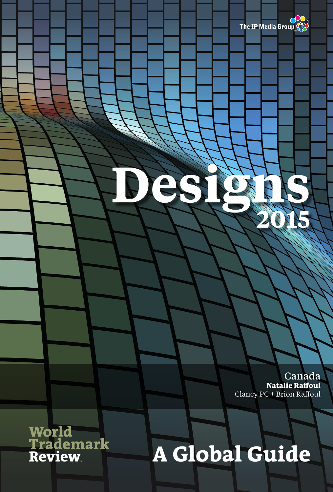

Canada **Natalie Raffoul** Clancy PC + Brion Raffoul

**World<br>Trademark<br>Review** 

## **A Global Guide**

**Designs <sup>2015</sup>**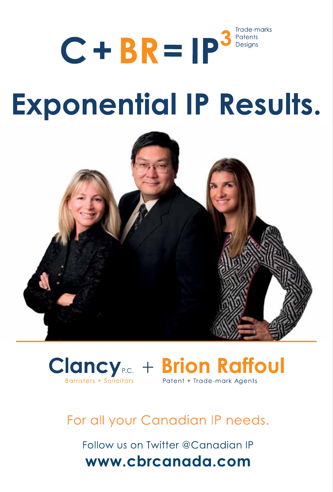### Trade-marks  $C + BR = IP<sup>3</sup>$ Patents Desians

# **Exponential IP Results.**





### For all your Canadian IP needs.

Follow us on Twitter @Canadian IP www.cbrcanada.com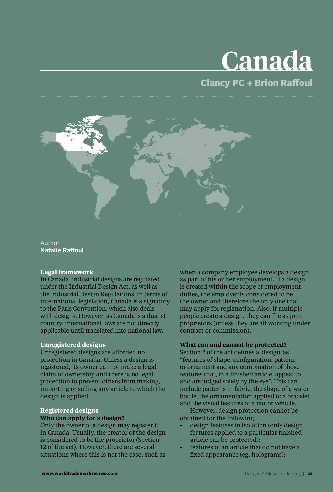## **Canada**

### Clancy PC + Brion Raffoul



Author **Natalie Raffoul**

### **Legal framework**

In Canada, industrial designs are regulated under the Industrial Design Act, as well as the Industrial Design Regulations. In terms of international legislation, Canada is a signatory to the Paris Convention, which also deals with designs. However, as Canada is a dualist country, international laws are not directly applicable until translated into national law.

### **Unregistered designs**

Unregistered designs are afforded no protection in Canada. Unless a design is registered, its owner cannot make a legal claim of ownership and there is no legal protection to prevent others from making, importing or selling any article to which the design is applied.

### **Registered designs Who can apply for a design?**

Only the owner of a design may register it in Canada. Usually, the creator of the design is considered to be the proprietor (Section 12 of the act). However, there are several situations where this is not the case, such as when a company employee develops a design as part of his or her employment. If a design is created within the scope of employment duties, the employer is considered to be the owner and therefore the only one that may apply for registration. Also, if multiple people create a design, they can file as joint proprietors (unless they are all working under contract or commission).

### **What can and cannot be protected?**

Section 2 of the act defines a 'design' as "features of shape, configuration, pattern or ornament and any combination of those features that, in a finished article, appeal to and are judged solely by the eye". This can include patterns in fabric, the shape of a water bottle, the ornamentation applied to a bracelet and the visual features of a motor vehicle.

However, design protection cannot be obtained for the following:

- design features in isolation (only design features applied to a particular finished article can be protected);
- features of an article that do not have a fixed appearance (eg, holograms);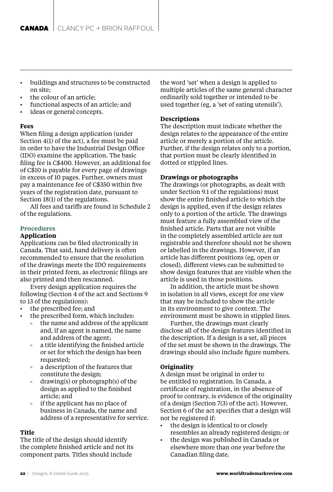- buildings and structures to be constructed on site;
- the colour of an article;
- functional aspects of an article; and
- ideas or general concepts.

### **Fees**

When filing a design application (under Section 4(1) of the act), a fee must be paid in order to have the Industrial Design Office (IDO) examine the application. The basic filing fee is C\$400. However, an additional fee of C\$10 is payable for every page of drawings in excess of 10 pages. Further, owners must pay a maintenance fee of C\$350 within five years of the registration date, pursuant to Section 18(1) of the regulations.

All fees and tariffs are found in Schedule 2 of the regulations.

### **Procedures**

#### **Application**

Applications can be filed electronically in Canada. That said, hand delivery is often recommended to ensure that the resolution of the drawings meets the IDO requirements in their printed form, as electronic filings are also printed and then rescanned.

Every design application requires the following (Section 4 of the act and Sections 9 to 13 of the regulations):

- the prescribed fee; and
- the prescribed form, which includes:
	- the name and address of the applicant and, if an agent is named, the name and address of the agent;
	- a title identifying the finished article  $\alpha$ or set for which the design has been requested;
	- a description of the features that constitute the design;
	- drawing(s) or photograph(s) of the design as applied to the finished article; and
	- if the applicant has no place of business in Canada, the name and address of a representative for service.

### **Title**

The title of the design should identify the complete finished article and not its component parts. Titles should include

the word 'set' when a design is applied to multiple articles of the same general character ordinarily sold together or intended to be used together (eg, a 'set of eating utensils').

### **Descriptions**

The description must indicate whether the design relates to the appearance of the entire article or merely a portion of the article. Further, if the design relates only to a portion, that portion must be clearly identified in dotted or stippled lines.

### **Drawings or photographs**

The drawings (or photographs, as dealt with under Section 9.1 of the regulations) must show the entire finished article to which the design is applied, even if the design relates only to a portion of the article. The drawings must feature a fully assembled view of the finished article. Parts that are not visible in the completely assembled article are not registrable and therefore should not be shown or labelled in the drawings. However, if an article has different positions (eg, open or closed), different views can be submitted to show design features that are visible when the article is used in those positions.

In addition, the article must be shown in isolation in all views, except for one view that may be included to show the article in its environment to give context. The environment must be shown in stippled lines.

Further, the drawings must clearly disclose all of the design features identified in the description. If a design is a set, all pieces of the set must be shown in the drawings. The drawings should also include figure numbers.

### **Originality**

A design must be original in order to be entitled to registration. In Canada, a certificate of registration, in the absence of proof to contrary, is evidence of the originality of a design (Section 7(3) of the act). However, Section 6 of the act specifies that a design will not be registered if:

- the design is identical to or closely resembles an already registered design; or
- the design was published in Canada or elsewhere more than one year before the Canadian filing date.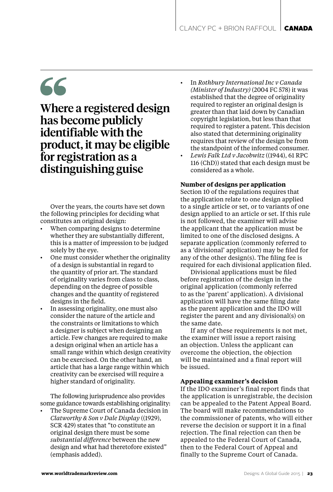### 66

Where a registered design has become publicly identifiable with the product, it may be eligible for registration as a distinguishing guise

Over the years, the courts have set down the following principles for deciding what constitutes an original design:

- When comparing designs to determine whether they are substantially different, this is a matter of impression to be judged solely by the eye.
- One must consider whether the originality of a design is substantial in regard to the quantity of prior art. The standard of originality varies from class to class, depending on the degree of possible changes and the quantity of registered designs in the field.
- In assessing originality, one must also consider the nature of the article and the constraints or limitations to which a designer is subject when designing an article. Few changes are required to make a design original when an article has a small range within which design creativity can be exercised. On the other hand, an article that has a large range within which creativity can be exercised will require a higher standard of originality.

The following jurisprudence also provides some guidance towards establishing originality:

• The Supreme Court of Canada decision in *Clatworthy & Son v Dale Display* ((1929), SCR 429) states that "to constitute an original design there must be some *substantial difference* between the new design and what had theretofore existed" (emphasis added).

- In *Rothbury International Inc v Canada (Minister of Industry)* (2004 FC 578) it was established that the degree of originality required to register an original design is greater than that laid down by Canadian copyright legislation, but less than that required to register a patent. This decision also stated that determining originality requires that review of the design be from the standpoint of the informed consumer.
- *Lewis Falk Ltd v Jacobwitz* ((1944), 61 RPC 116 (ChD)) stated that each design must be considered as a whole.

### **Number of designs per application**

Section 10 of the regulations requires that the application relate to one design applied to a single article or set, or to variants of one design applied to an article or set. If this rule is not followed, the examiner will advise the applicant that the application must be limited to one of the disclosed designs. A separate application (commonly referred to as a 'divisional' application) may be filed for any of the other design(s). The filing fee is required for each divisional application filed.

Divisional applications must be filed before registration of the design in the original application (commonly referred to as the 'parent' application). A divisional application will have the same filing date as the parent application and the IDO will register the parent and any divisional(s) on the same date.

If any of these requirements is not met, the examiner will issue a report raising an objection. Unless the applicant can overcome the objection, the objection will be maintained and a final report will be issued.

### **Appealing examiner's decision**

If the IDO examiner's final report finds that the application is unregistrable, the decision can be appealed to the Patent Appeal Board. The board will make recommendations to the commissioner of patents, who will either reverse the decision or support it in a final rejection. The final rejection can then be appealed to the Federal Court of Canada, then to the Federal Court of Appeal and finally to the Supreme Court of Canada.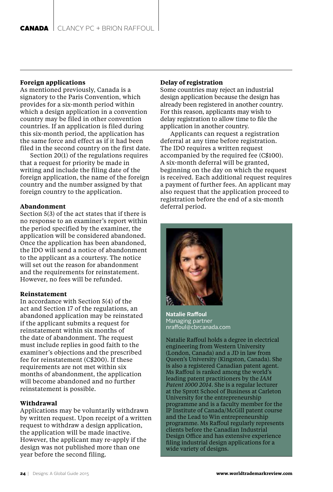### **Foreign applications**

As mentioned previously, Canada is a signatory to the Paris Convention, which provides for a six-month period within which a design application in a convention country may be filed in other convention countries. If an application is filed during this six-month period, the application has the same force and effect as if it had been filed in the second country on the first date.

Section 20(1) of the regulations requires that a request for priority be made in writing and include the filing date of the foreign application, the name of the foreign country and the number assigned by that foreign country to the application.

### **Abandonment**

Section 5(3) of the act states that if there is no response to an examiner's report within the period specified by the examiner, the application will be considered abandoned. Once the application has been abandoned, the IDO will send a notice of abandonment to the applicant as a courtesy. The notice will set out the reason for abandonment and the requirements for reinstatement. However, no fees will be refunded.

### **Reinstatement**

In accordance with Section 5(4) of the act and Section 17 of the regulations, an abandoned application may be reinstated if the applicant submits a request for reinstatement within six months of the date of abandonment. The request must include replies in good faith to the examiner's objections and the prescribed fee for reinstatement (C\$200). If these requirements are not met within six months of abandonment, the application will become abandoned and no further reinstatement is possible.

### **Withdrawal**

Applications may be voluntarily withdrawn by written request. Upon receipt of a written request to withdraw a design application, the application will be made inactive. However, the applicant may re-apply if the design was not published more than one year before the second filing.

### **Delay of registration**

Some countries may reject an industrial design application because the design has already been registered in another country. For this reason, applicants may wish to delay registration to allow time to file the application in another country.

Applicants can request a registration deferral at any time before registration. The IDO requires a written request accompanied by the required fee (C\$100). A six-month deferral will be granted, beginning on the day on which the request is received. Each additional request requires a payment of further fees. An applicant may also request that the application proceed to registration before the end of a six-month deferral period.



**Natalie Raffoul** Managing partner nraffoul@cbrcanada.com

Natalie Raffoul holds a degree in electrical engineering from Western University (London, Canada) and a JD in law from Queen's University (Kingston, Canada). She is also a registered Canadian patent agent. Ms Raffoul is ranked among the world's leading patent practitioners by the *IAM Patent 1000 2014*. She is a regular lecturer at the Sprott School of Business at Carleton University for the entrepreneurship programme and is a faculty member for the IP Institute of Canada/McGill patent course and the Lead to Win entrepreneurship programme. Ms Raffoul regularly represents clients before the Canadian Industrial Design Office and has extensive experience filing industrial design applications for a wide variety of designs.